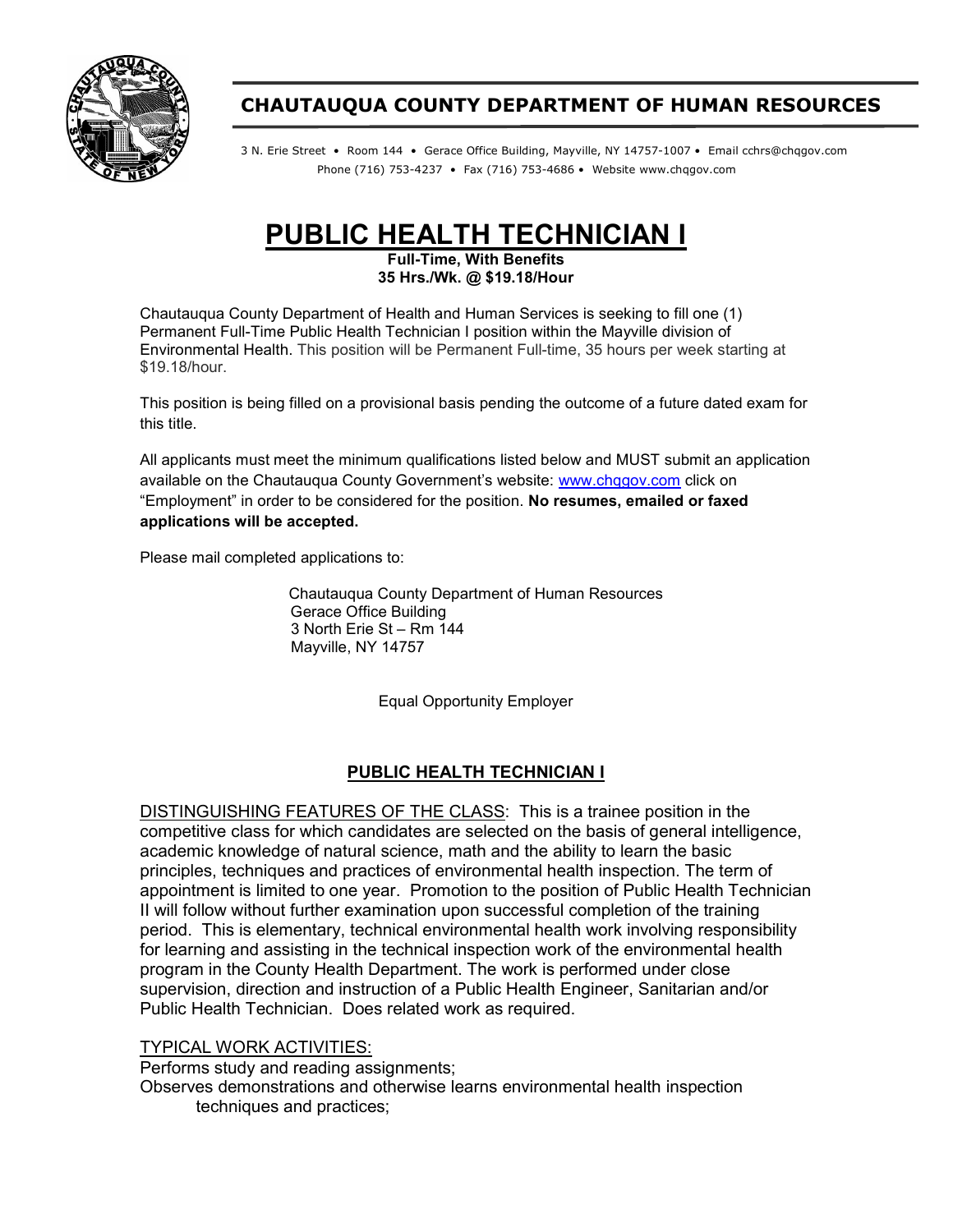

# CHAUTAUQUA COUNTY DEPARTMENT OF HUMAN RESOURCES

3 N. Erie Street • Room 144 • Gerace Office Building, Mayville, NY 14757-1007 • Email cchrs@chqgov.com Phone (716) 753-4237 • Fax (716) 753-4686 • Website www.chqgov.com

# PUBLIC HEALTH TECHNICIAN I

Full-Time, With Benefits 35 Hrs./Wk. @ \$19.18/Hour

Chautauqua County Department of Health and Human Services is seeking to fill one (1) Permanent Full-Time Public Health Technician I position within the Mayville division of Environmental Health. This position will be Permanent Full-time, 35 hours per week starting at \$19.18/hour.

This position is being filled on a provisional basis pending the outcome of a future dated exam for this title.

All applicants must meet the minimum qualifications listed below and MUST submit an application available on the Chautauqua County Government's website: www.chqgov.com click on "Employment" in order to be considered for the position. No resumes, emailed or faxed applications will be accepted.

Please mail completed applications to:

Chautauqua County Department of Human Resources Gerace Office Building 3 North Erie St – Rm 144 Mayville, NY 14757

Equal Opportunity Employer

### PUBLIC HEALTH TECHNICIAN I

DISTINGUISHING FEATURES OF THE CLASS: This is a trainee position in the competitive class for which candidates are selected on the basis of general intelligence, academic knowledge of natural science, math and the ability to learn the basic principles, techniques and practices of environmental health inspection. The term of appointment is limited to one year. Promotion to the position of Public Health Technician II will follow without further examination upon successful completion of the training period. This is elementary, technical environmental health work involving responsibility for learning and assisting in the technical inspection work of the environmental health program in the County Health Department. The work is performed under close supervision, direction and instruction of a Public Health Engineer, Sanitarian and/or Public Health Technician. Does related work as required.

#### TYPICAL WORK ACTIVITIES:

Performs study and reading assignments; Observes demonstrations and otherwise learns environmental health inspection techniques and practices;